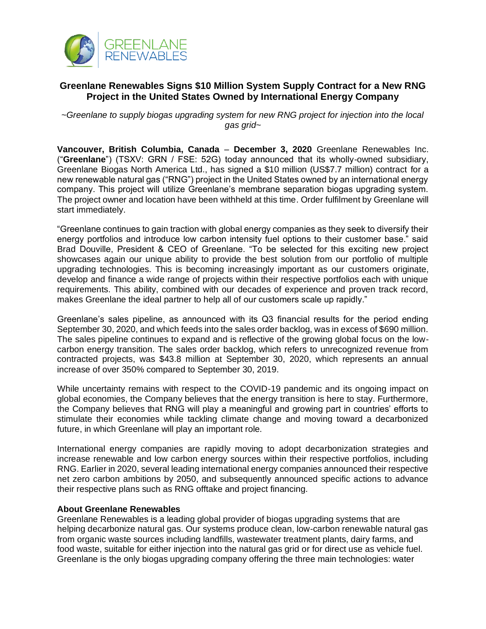

## **Greenlane Renewables Signs \$10 Million System Supply Contract for a New RNG Project in the United States Owned by International Energy Company**

*~Greenlane to supply biogas upgrading system for new RNG project for injection into the local gas grid~*

**Vancouver, British Columbia, Canada** – **December 3, 2020** Greenlane Renewables Inc. ("**Greenlane**") (TSXV: GRN / FSE: 52G) today announced that its wholly-owned subsidiary, Greenlane Biogas North America Ltd., has signed a \$10 million (US\$7.7 million) contract for a new renewable natural gas ("RNG") project in the United States owned by an international energy company. This project will utilize Greenlane's membrane separation biogas upgrading system. The project owner and location have been withheld at this time. Order fulfilment by Greenlane will start immediately.

"Greenlane continues to gain traction with global energy companies as they seek to diversify their energy portfolios and introduce low carbon intensity fuel options to their customer base." said Brad Douville, President & CEO of Greenlane. "To be selected for this exciting new project showcases again our unique ability to provide the best solution from our portfolio of multiple upgrading technologies. This is becoming increasingly important as our customers originate, develop and finance a wide range of projects within their respective portfolios each with unique requirements. This ability, combined with our decades of experience and proven track record, makes Greenlane the ideal partner to help all of our customers scale up rapidly."

Greenlane's sales pipeline, as announced with its Q3 financial results for the period ending September 30, 2020, and which feeds into the sales order backlog, was in excess of \$690 million. The sales pipeline continues to expand and is reflective of the growing global focus on the lowcarbon energy transition. The sales order backlog, which refers to unrecognized revenue from contracted projects, was \$43.8 million at September 30, 2020, which represents an annual increase of over 350% compared to September 30, 2019.

While uncertainty remains with respect to the COVID-19 pandemic and its ongoing impact on global economies, the Company believes that the energy transition is here to stay. Furthermore, the Company believes that RNG will play a meaningful and growing part in countries' efforts to stimulate their economies while tackling climate change and moving toward a decarbonized future, in which Greenlane will play an important role.

International energy companies are rapidly moving to adopt decarbonization strategies and increase renewable and low carbon energy sources within their respective portfolios, including RNG. Earlier in 2020, several leading international energy companies announced their respective net zero carbon ambitions by 2050, and subsequently announced specific actions to advance their respective plans such as RNG offtake and project financing.

## **About Greenlane Renewables**

Greenlane Renewables is a leading global provider of biogas upgrading systems that are helping decarbonize natural gas. Our systems produce clean, low-carbon renewable natural gas from organic waste sources including landfills, wastewater treatment plants, dairy farms, and food waste, suitable for either injection into the natural gas grid or for direct use as vehicle fuel. Greenlane is the only biogas upgrading company offering the three main technologies: water